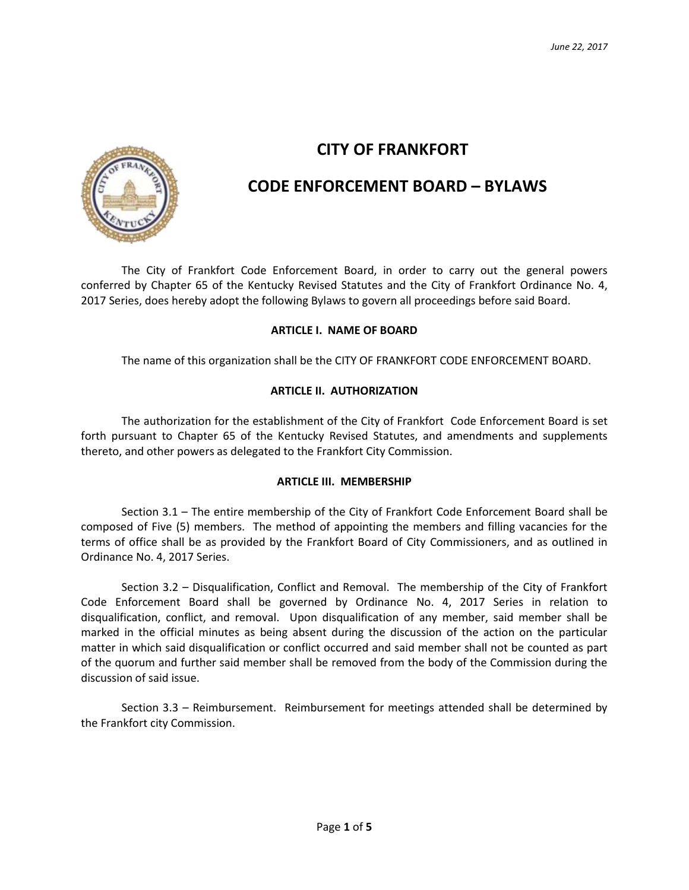

# **CITY OF FRANKFORT**

# **CODE ENFORCEMENT BOARD – BYLAWS**

The City of Frankfort Code Enforcement Board, in order to carry out the general powers conferred by Chapter 65 of the Kentucky Revised Statutes and the City of Frankfort Ordinance No. 4, 2017 Series, does hereby adopt the following Bylaws to govern all proceedings before said Board.

# **ARTICLE I. NAME OF BOARD**

The name of this organization shall be the CITY OF FRANKFORT CODE ENFORCEMENT BOARD.

# **ARTICLE II. AUTHORIZATION**

The authorization for the establishment of the City of Frankfort Code Enforcement Board is set forth pursuant to Chapter 65 of the Kentucky Revised Statutes, and amendments and supplements thereto, and other powers as delegated to the Frankfort City Commission.

# **ARTICLE III. MEMBERSHIP**

Section 3.1 – The entire membership of the City of Frankfort Code Enforcement Board shall be composed of Five (5) members. The method of appointing the members and filling vacancies for the terms of office shall be as provided by the Frankfort Board of City Commissioners, and as outlined in Ordinance No. 4, 2017 Series.

Section 3.2 – Disqualification, Conflict and Removal. The membership of the City of Frankfort Code Enforcement Board shall be governed by Ordinance No. 4, 2017 Series in relation to disqualification, conflict, and removal. Upon disqualification of any member, said member shall be marked in the official minutes as being absent during the discussion of the action on the particular matter in which said disqualification or conflict occurred and said member shall not be counted as part of the quorum and further said member shall be removed from the body of the Commission during the discussion of said issue.

Section 3.3 – Reimbursement. Reimbursement for meetings attended shall be determined by the Frankfort city Commission.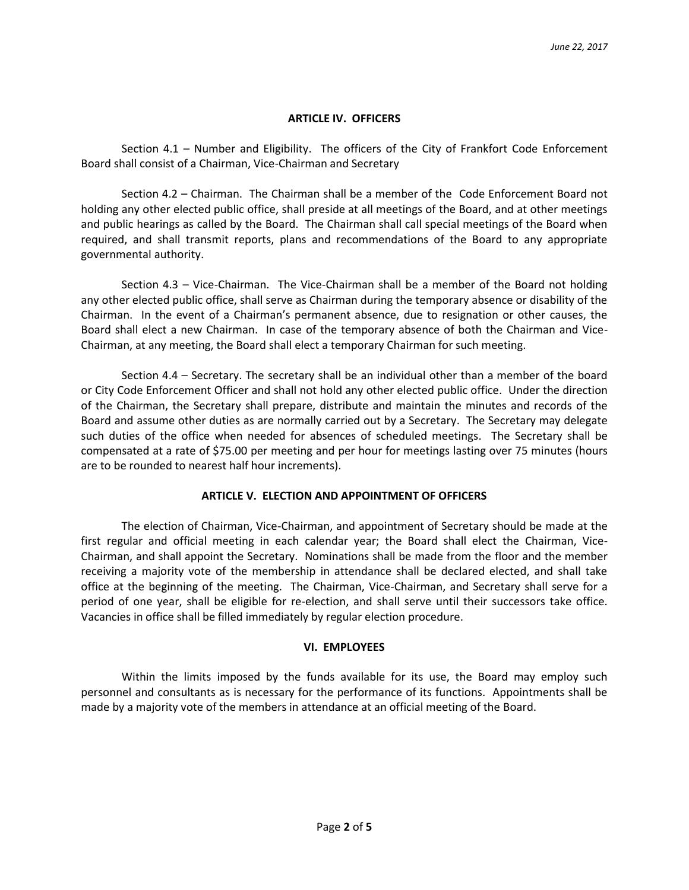#### **ARTICLE IV. OFFICERS**

Section 4.1 – Number and Eligibility. The officers of the City of Frankfort Code Enforcement Board shall consist of a Chairman, Vice-Chairman and Secretary

Section 4.2 – Chairman. The Chairman shall be a member of the Code Enforcement Board not holding any other elected public office, shall preside at all meetings of the Board, and at other meetings and public hearings as called by the Board. The Chairman shall call special meetings of the Board when required, and shall transmit reports, plans and recommendations of the Board to any appropriate governmental authority.

Section 4.3 – Vice-Chairman. The Vice-Chairman shall be a member of the Board not holding any other elected public office, shall serve as Chairman during the temporary absence or disability of the Chairman. In the event of a Chairman's permanent absence, due to resignation or other causes, the Board shall elect a new Chairman. In case of the temporary absence of both the Chairman and Vice-Chairman, at any meeting, the Board shall elect a temporary Chairman for such meeting.

Section 4.4 – Secretary. The secretary shall be an individual other than a member of the board or City Code Enforcement Officer and shall not hold any other elected public office. Under the direction of the Chairman, the Secretary shall prepare, distribute and maintain the minutes and records of the Board and assume other duties as are normally carried out by a Secretary. The Secretary may delegate such duties of the office when needed for absences of scheduled meetings. The Secretary shall be compensated at a rate of \$75.00 per meeting and per hour for meetings lasting over 75 minutes (hours are to be rounded to nearest half hour increments).

# **ARTICLE V. ELECTION AND APPOINTMENT OF OFFICERS**

The election of Chairman, Vice-Chairman, and appointment of Secretary should be made at the first regular and official meeting in each calendar year; the Board shall elect the Chairman, Vice-Chairman, and shall appoint the Secretary. Nominations shall be made from the floor and the member receiving a majority vote of the membership in attendance shall be declared elected, and shall take office at the beginning of the meeting. The Chairman, Vice-Chairman, and Secretary shall serve for a period of one year, shall be eligible for re-election, and shall serve until their successors take office. Vacancies in office shall be filled immediately by regular election procedure.

# **VI. EMPLOYEES**

Within the limits imposed by the funds available for its use, the Board may employ such personnel and consultants as is necessary for the performance of its functions. Appointments shall be made by a majority vote of the members in attendance at an official meeting of the Board.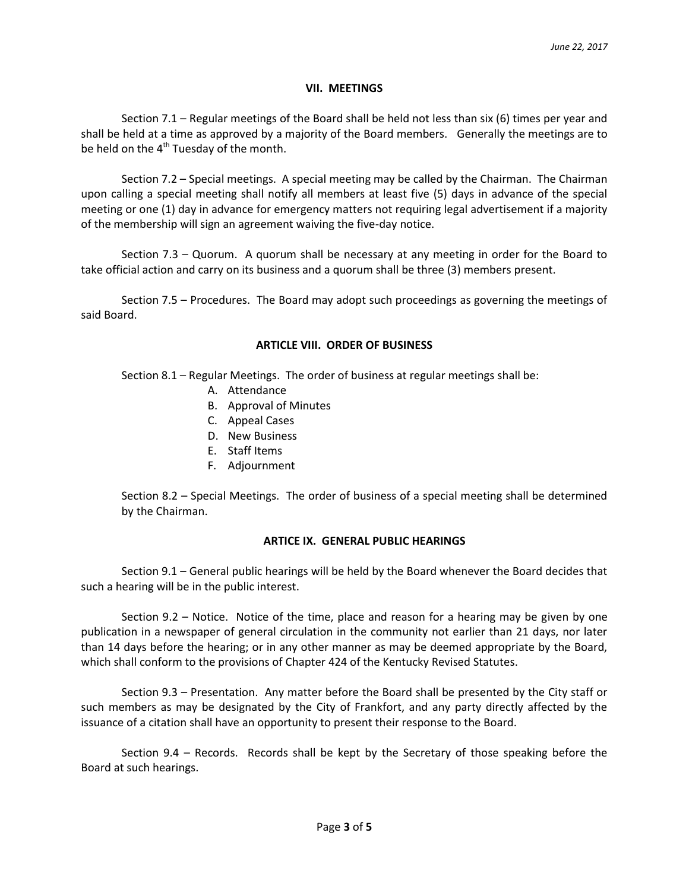#### **VII. MEETINGS**

Section 7.1 – Regular meetings of the Board shall be held not less than six (6) times per year and shall be held at a time as approved by a majority of the Board members. Generally the meetings are to be held on the  $4<sup>th</sup>$  Tuesday of the month.

Section 7.2 – Special meetings. A special meeting may be called by the Chairman. The Chairman upon calling a special meeting shall notify all members at least five (5) days in advance of the special meeting or one (1) day in advance for emergency matters not requiring legal advertisement if a majority of the membership will sign an agreement waiving the five-day notice.

Section 7.3 – Quorum. A quorum shall be necessary at any meeting in order for the Board to take official action and carry on its business and a quorum shall be three (3) members present.

Section 7.5 – Procedures. The Board may adopt such proceedings as governing the meetings of said Board.

#### **ARTICLE VIII. ORDER OF BUSINESS**

Section 8.1 – Regular Meetings. The order of business at regular meetings shall be:

- A. Attendance
- B. Approval of Minutes
- C. Appeal Cases
- D. New Business
- E. Staff Items
- F. Adjournment

Section 8.2 – Special Meetings. The order of business of a special meeting shall be determined by the Chairman.

# **ARTICE IX. GENERAL PUBLIC HEARINGS**

Section 9.1 – General public hearings will be held by the Board whenever the Board decides that such a hearing will be in the public interest.

Section 9.2 – Notice. Notice of the time, place and reason for a hearing may be given by one publication in a newspaper of general circulation in the community not earlier than 21 days, nor later than 14 days before the hearing; or in any other manner as may be deemed appropriate by the Board, which shall conform to the provisions of Chapter 424 of the Kentucky Revised Statutes.

Section 9.3 – Presentation. Any matter before the Board shall be presented by the City staff or such members as may be designated by the City of Frankfort, and any party directly affected by the issuance of a citation shall have an opportunity to present their response to the Board.

Section 9.4 – Records. Records shall be kept by the Secretary of those speaking before the Board at such hearings.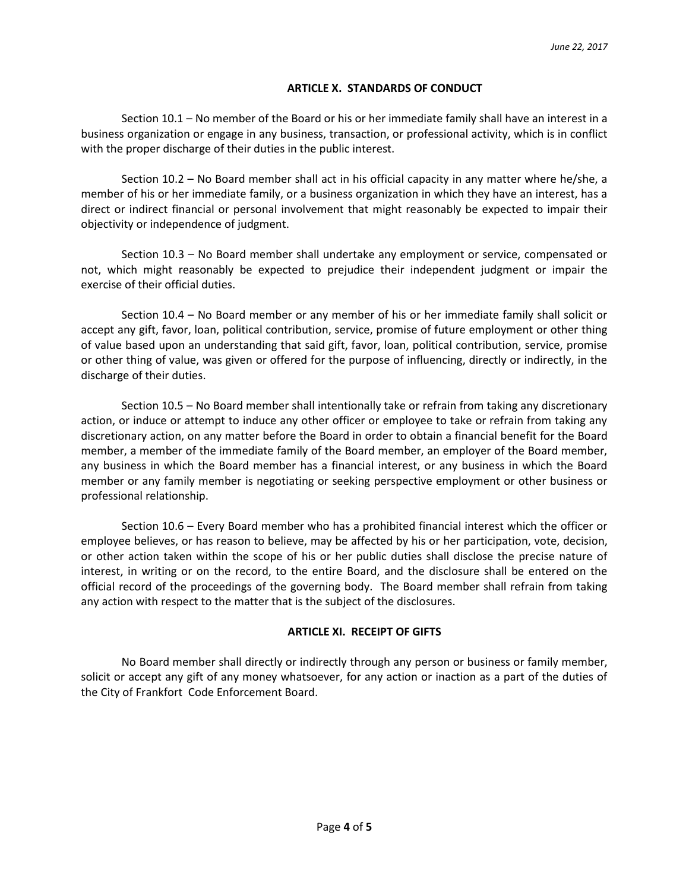#### **ARTICLE X. STANDARDS OF CONDUCT**

Section 10.1 – No member of the Board or his or her immediate family shall have an interest in a business organization or engage in any business, transaction, or professional activity, which is in conflict with the proper discharge of their duties in the public interest.

Section 10.2 – No Board member shall act in his official capacity in any matter where he/she, a member of his or her immediate family, or a business organization in which they have an interest, has a direct or indirect financial or personal involvement that might reasonably be expected to impair their objectivity or independence of judgment.

Section 10.3 – No Board member shall undertake any employment or service, compensated or not, which might reasonably be expected to prejudice their independent judgment or impair the exercise of their official duties.

Section 10.4 – No Board member or any member of his or her immediate family shall solicit or accept any gift, favor, loan, political contribution, service, promise of future employment or other thing of value based upon an understanding that said gift, favor, loan, political contribution, service, promise or other thing of value, was given or offered for the purpose of influencing, directly or indirectly, in the discharge of their duties.

Section 10.5 – No Board member shall intentionally take or refrain from taking any discretionary action, or induce or attempt to induce any other officer or employee to take or refrain from taking any discretionary action, on any matter before the Board in order to obtain a financial benefit for the Board member, a member of the immediate family of the Board member, an employer of the Board member, any business in which the Board member has a financial interest, or any business in which the Board member or any family member is negotiating or seeking perspective employment or other business or professional relationship.

Section 10.6 – Every Board member who has a prohibited financial interest which the officer or employee believes, or has reason to believe, may be affected by his or her participation, vote, decision, or other action taken within the scope of his or her public duties shall disclose the precise nature of interest, in writing or on the record, to the entire Board, and the disclosure shall be entered on the official record of the proceedings of the governing body. The Board member shall refrain from taking any action with respect to the matter that is the subject of the disclosures.

#### **ARTICLE XI. RECEIPT OF GIFTS**

No Board member shall directly or indirectly through any person or business or family member, solicit or accept any gift of any money whatsoever, for any action or inaction as a part of the duties of the City of Frankfort Code Enforcement Board.